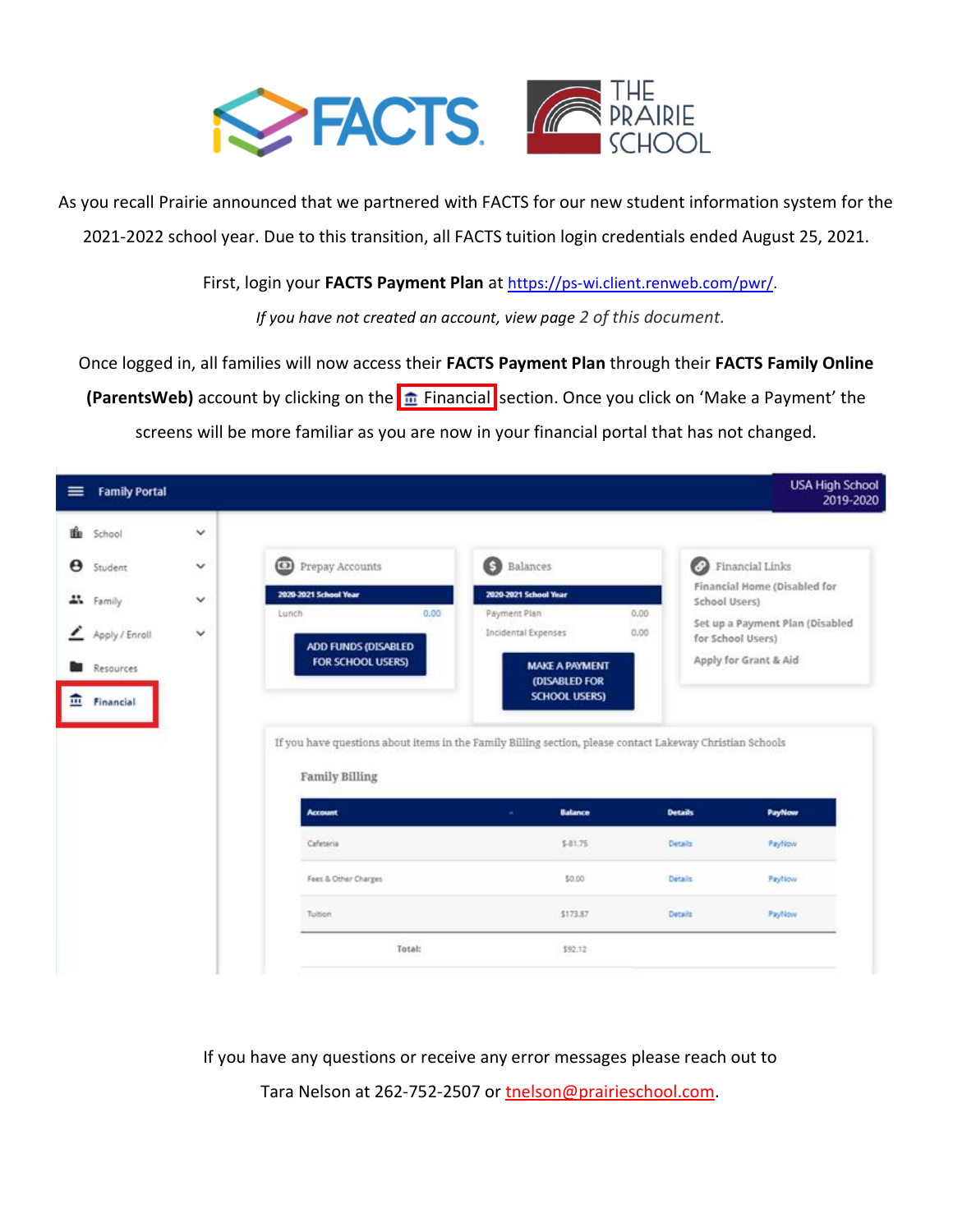

As you recall Prairie announced that we partnered with FACTS for our new student information system for the 2021-2022 school year. Due to this transition, all FACTS tuition login credentials ended August 25, 2021.

First, login your **FACTS Payment Plan** at [https://ps-wi.client.renweb.com/pwr/.](https://ps-wi.client.renweb.com/pwr/)

*If you have not created an account, view page 2 of this document.*

Once logged in, all families will now access their **FACTS Payment Plan** through their **FACTS Family Online (ParentsWeb)** account by clicking on the  $\frac{1}{2}$  Financial section. Once you click on 'Make a Payment' the screens will be more familiar as you are now in your financial portal that has not changed.

| <b>Family Portal</b><br>≡ |              |                                        |                                                                                                           | <b>USA High School</b><br>2019-2020                  |
|---------------------------|--------------|----------------------------------------|-----------------------------------------------------------------------------------------------------------|------------------------------------------------------|
| 豳<br>School               | $\checkmark$ |                                        |                                                                                                           |                                                      |
| Θ<br>Student              | $\checkmark$ | ⊚<br>Prepay Accounts                   | $\bigodot$<br>Balances                                                                                    | <b>D</b> Financial Links                             |
| 4% Family                 | $\checkmark$ | 2020-2021 School Year<br>0.00<br>Lunch | 2020-2021 School Year<br>Payment Plan<br>0.00                                                             | Financial Home (Disabled for<br>School Users)        |
| Apply / Enroll            | Y            | ADD FUNDS (DISABLED                    | Incidental Expenses<br>0.00                                                                               | Set up a Payment Plan (Disabled<br>for School Users) |
| Resources                 |              | FOR SCHOOL USERS)                      | <b>MAKE A PAYMENT</b><br>(DISABLED FOR                                                                    | Apply for Grant & Aid                                |
| 血<br>Financial            |              |                                        | <b>SCHOOL USERS)</b>                                                                                      |                                                      |
|                           |              |                                        | If you have questions about items in the Family Billing section, please contact Lakeway Christian Schools |                                                      |
|                           |              | Family Billing                         |                                                                                                           |                                                      |
|                           |              | <b>Account</b>                         | Balance<br>×                                                                                              | <b>PayNow</b><br><b>Details</b>                      |
|                           |              | Cafeteria                              | $$-01.75$                                                                                                 | Details<br>Payflow                                   |
|                           |              | Fees & Other Charges                   | \$0.00                                                                                                    | Paytlow<br><b>Details</b>                            |
|                           |              | Tuition                                | \$173.87                                                                                                  | Payfilow<br>Details                                  |
|                           |              | Total:                                 | \$92.12                                                                                                   |                                                      |
|                           |              |                                        |                                                                                                           |                                                      |

If you have any questions or receive any error messages please reach out to

Tara Nelson at 262-752-2507 or [tnelson@prairieschool.com.](mailto:tnelson@prairieschool.com)